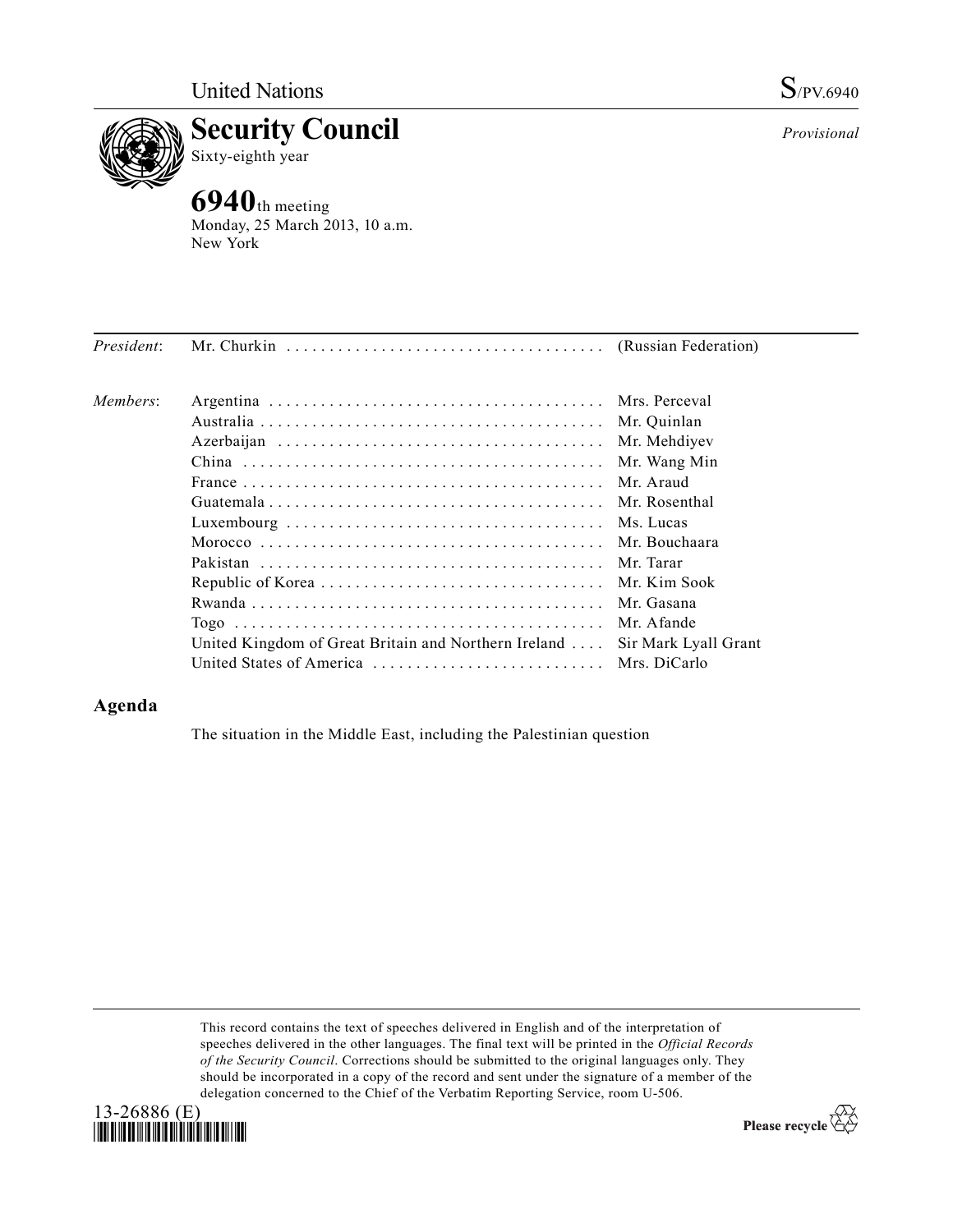



**6940**th meeting Monday, 25 March 2013, 10 a.m. New York

| President: |                                                              |                      |
|------------|--------------------------------------------------------------|----------------------|
| Members:   |                                                              |                      |
|            |                                                              | Mr. Quinlan          |
|            |                                                              | Mr. Mehdiyev         |
|            |                                                              | Mr. Wang Min         |
|            |                                                              | Mr. Araud            |
|            |                                                              | Mr. Rosenthal        |
|            |                                                              |                      |
|            |                                                              |                      |
|            |                                                              |                      |
|            |                                                              |                      |
|            |                                                              | Mr. Gasana           |
|            |                                                              | Mr. Afande           |
|            | United Kingdom of Great Britain and Northern Ireland $\dots$ | Sir Mark Lyall Grant |
|            |                                                              |                      |

## **Agenda**

The situation in the Middle East, including the Palestinian question

This record contains the text of speeches delivered in English and of the interpretation of speeches delivered in the other languages. The final text will be printed in the *Official Records of the Security Council*. Corrections should be submitted to the original languages only. They should be incorporated in a copy of the record and sent under the signature of a member of the delegation concerned to the Chief of the Verbatim Reporting Service, room U-506.



Please recycle  $\overleftrightarrow{C}$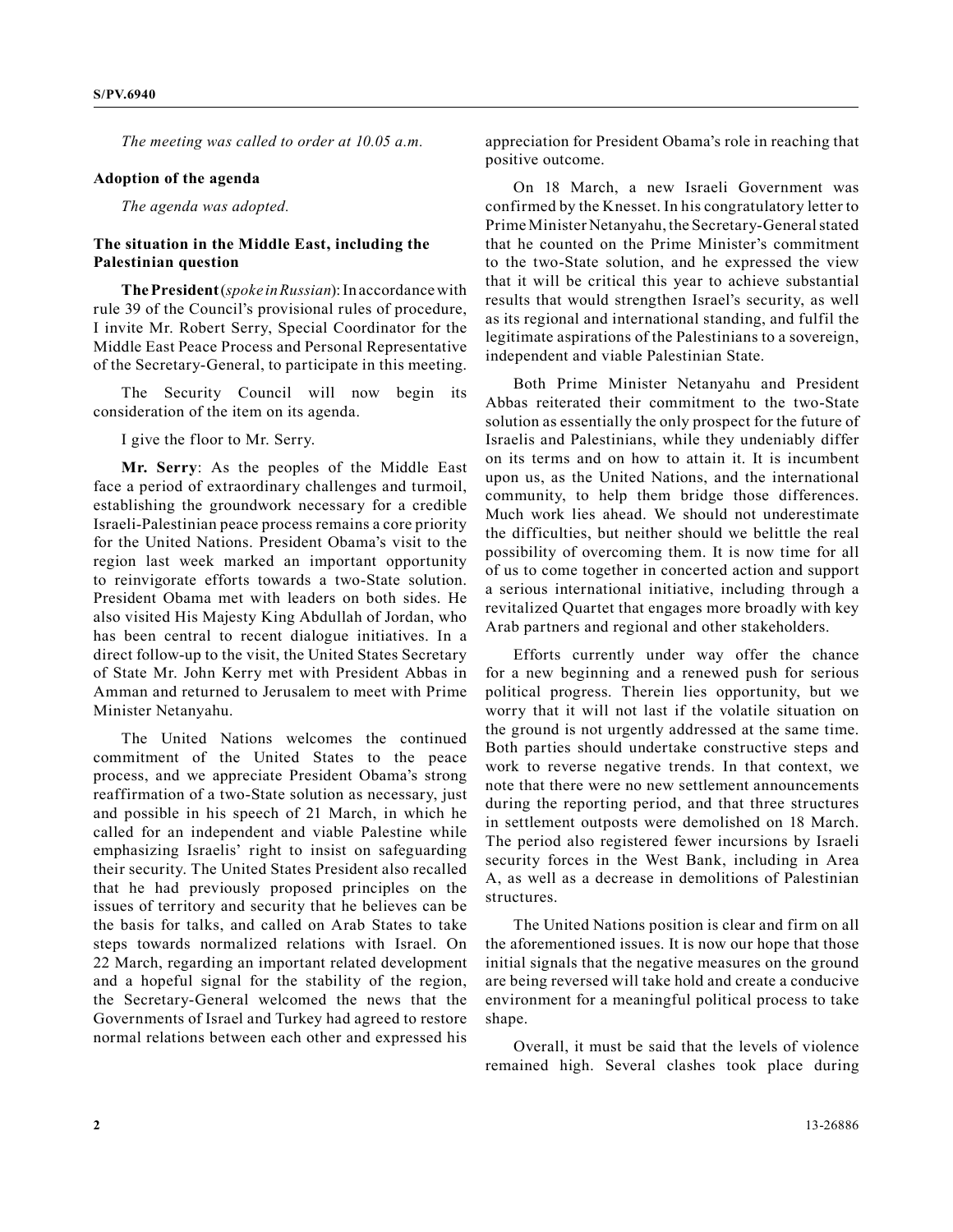*The meeting was called to order at 10.05 a.m.*

## **Adoption of the agenda**

*The agenda was adopted.*

## **The situation in the Middle East, including the Palestinian question**

**The President** (*spoke in Russian*): In accordance with rule 39 of the Council's provisional rules of procedure, I invite Mr. Robert Serry, Special Coordinator for the Middle East Peace Process and Personal Representative of the Secretary-General, to participate in this meeting.

The Security Council will now begin its consideration of the item on its agenda.

I give the floor to Mr. Serry.

**Mr. Serry**: As the peoples of the Middle East face a period of extraordinary challenges and turmoil, establishing the groundwork necessary for a credible Israeli-Palestinian peace process remains a core priority for the United Nations. President Obama's visit to the region last week marked an important opportunity to reinvigorate efforts towards a two-State solution. President Obama met with leaders on both sides. He also visited His Majesty King Abdullah of Jordan, who has been central to recent dialogue initiatives. In a direct follow-up to the visit, the United States Secretary of State Mr. John Kerry met with President Abbas in Amman and returned to Jerusalem to meet with Prime Minister Netanyahu.

The United Nations welcomes the continued commitment of the United States to the peace process, and we appreciate President Obama's strong reaffirmation of a two-State solution as necessary, just and possible in his speech of 21 March, in which he called for an independent and viable Palestine while emphasizing Israelis' right to insist on safeguarding their security. The United States President also recalled that he had previously proposed principles on the issues of territory and security that he believes can be the basis for talks, and called on Arab States to take steps towards normalized relations with Israel. On 22 March, regarding an important related development and a hopeful signal for the stability of the region, the Secretary-General welcomed the news that the Governments of Israel and Turkey had agreed to restore normal relations between each other and expressed his

appreciation for President Obama's role in reaching that positive outcome.

On 18 March, a new Israeli Government was confirmed by the Knesset. In his congratulatory letter to Prime Minister Netanyahu, the Secretary-General stated that he counted on the Prime Minister's commitment to the two-State solution, and he expressed the view that it will be critical this year to achieve substantial results that would strengthen Israel's security, as well as its regional and international standing, and fulfil the legitimate aspirations of the Palestinians to a sovereign, independent and viable Palestinian State.

Both Prime Minister Netanyahu and President Abbas reiterated their commitment to the two-State solution as essentially the only prospect for the future of Israelis and Palestinians, while they undeniably differ on its terms and on how to attain it. It is incumbent upon us, as the United Nations, and the international community, to help them bridge those differences. Much work lies ahead. We should not underestimate the difficulties, but neither should we belittle the real possibility of overcoming them. It is now time for all of us to come together in concerted action and support a serious international initiative, including through a revitalized Quartet that engages more broadly with key Arab partners and regional and other stakeholders.

Efforts currently under way offer the chance for a new beginning and a renewed push for serious political progress. Therein lies opportunity, but we worry that it will not last if the volatile situation on the ground is not urgently addressed at the same time. Both parties should undertake constructive steps and work to reverse negative trends. In that context, we note that there were no new settlement announcements during the reporting period, and that three structures in settlement outposts were demolished on 18 March. The period also registered fewer incursions by Israeli security forces in the West Bank, including in Area A, as well as a decrease in demolitions of Palestinian structures.

The United Nations position is clear and firm on all the aforementioned issues. It is now our hope that those initial signals that the negative measures on the ground are being reversed will take hold and create a conducive environment for a meaningful political process to take shape.

Overall, it must be said that the levels of violence remained high. Several clashes took place during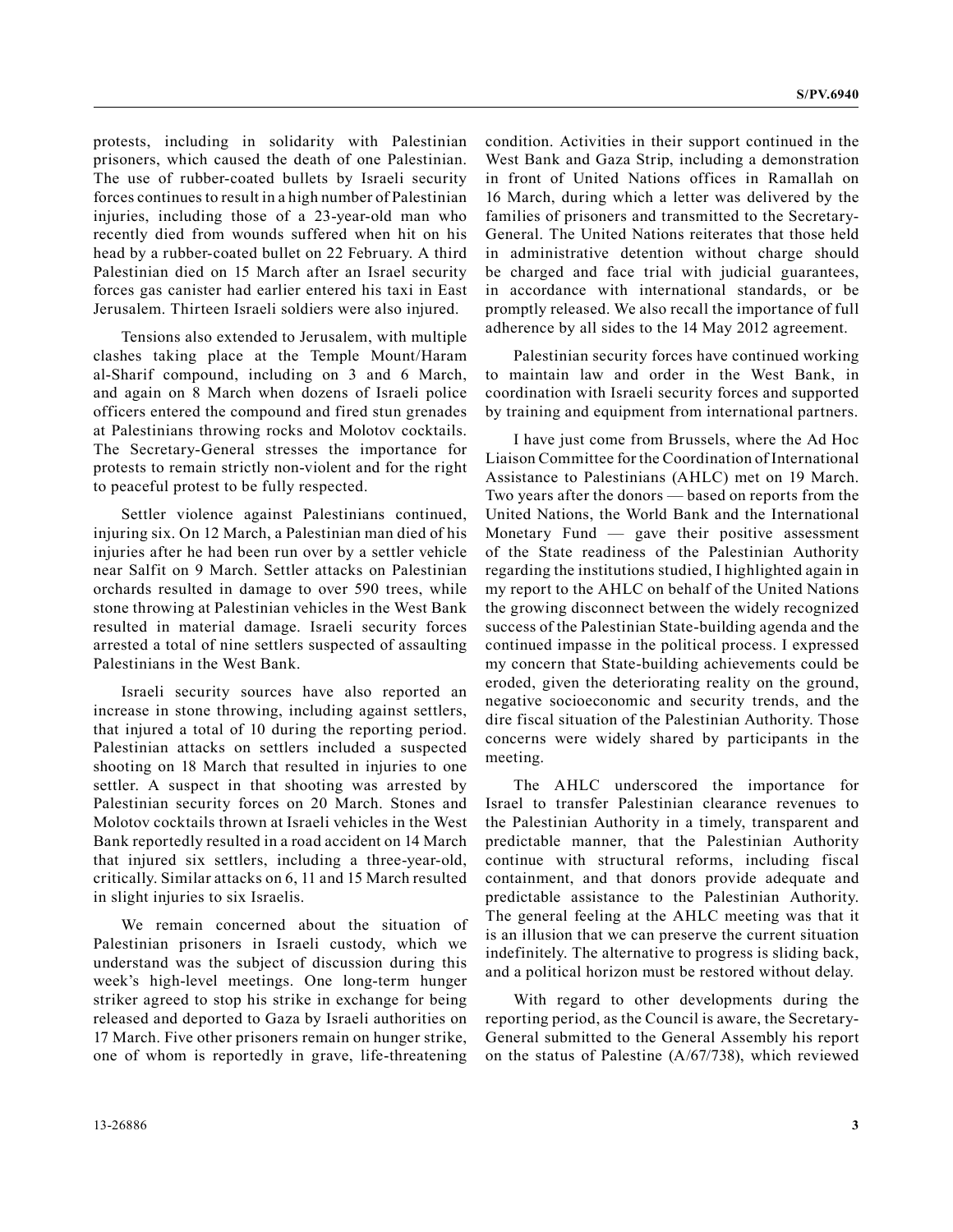protests, including in solidarity with Palestinian prisoners, which caused the death of one Palestinian. The use of rubber-coated bullets by Israeli security forces continues to result in a high number of Palestinian injuries, including those of a 23-year-old man who recently died from wounds suffered when hit on his head by a rubber-coated bullet on 22 February. A third Palestinian died on 15 March after an Israel security forces gas canister had earlier entered his taxi in East Jerusalem. Thirteen Israeli soldiers were also injured.

Tensions also extended to Jerusalem, with multiple clashes taking place at the Temple Mount/Haram al-Sharif compound, including on 3 and 6 March, and again on 8 March when dozens of Israeli police officers entered the compound and fired stun grenades at Palestinians throwing rocks and Molotov cocktails. The Secretary-General stresses the importance for protests to remain strictly non-violent and for the right to peaceful protest to be fully respected.

Settler violence against Palestinians continued, injuring six. On 12 March, a Palestinian man died of his injuries after he had been run over by a settler vehicle near Salfit on 9 March. Settler attacks on Palestinian orchards resulted in damage to over 590 trees, while stone throwing at Palestinian vehicles in the West Bank resulted in material damage. Israeli security forces arrested a total of nine settlers suspected of assaulting Palestinians in the West Bank.

Israeli security sources have also reported an increase in stone throwing, including against settlers, that injured a total of 10 during the reporting period. Palestinian attacks on settlers included a suspected shooting on 18 March that resulted in injuries to one settler. A suspect in that shooting was arrested by Palestinian security forces on 20 March. Stones and Molotov cocktails thrown at Israeli vehicles in the West Bank reportedly resulted in a road accident on 14 March that injured six settlers, including a three-year-old, critically. Similar attacks on 6, 11 and 15 March resulted in slight injuries to six Israelis.

We remain concerned about the situation of Palestinian prisoners in Israeli custody, which we understand was the subject of discussion during this week's high-level meetings. One long-term hunger striker agreed to stop his strike in exchange for being released and deported to Gaza by Israeli authorities on 17 March. Five other prisoners remain on hunger strike, one of whom is reportedly in grave, life-threatening condition. Activities in their support continued in the West Bank and Gaza Strip, including a demonstration in front of United Nations offices in Ramallah on 16 March, during which a letter was delivered by the families of prisoners and transmitted to the Secretary-General. The United Nations reiterates that those held in administrative detention without charge should be charged and face trial with judicial guarantees, in accordance with international standards, or be promptly released. We also recall the importance of full adherence by all sides to the 14 May 2012 agreement.

Palestinian security forces have continued working to maintain law and order in the West Bank, in coordination with Israeli security forces and supported by training and equipment from international partners.

I have just come from Brussels, where the Ad Hoc Liaison Committee for the Coordination of International Assistance to Palestinians (AHLC) met on 19 March. Two years after the donors — based on reports from the United Nations, the World Bank and the International Monetary Fund — gave their positive assessment of the State readiness of the Palestinian Authority regarding the institutions studied, I highlighted again in my report to the AHLC on behalf of the United Nations the growing disconnect between the widely recognized success of the Palestinian State-building agenda and the continued impasse in the political process. I expressed my concern that State-building achievements could be eroded, given the deteriorating reality on the ground, negative socioeconomic and security trends, and the dire fiscal situation of the Palestinian Authority. Those concerns were widely shared by participants in the meeting.

The AHLC underscored the importance for Israel to transfer Palestinian clearance revenues to the Palestinian Authority in a timely, transparent and predictable manner, that the Palestinian Authority continue with structural reforms, including fiscal containment, and that donors provide adequate and predictable assistance to the Palestinian Authority. The general feeling at the AHLC meeting was that it is an illusion that we can preserve the current situation indefinitely. The alternative to progress is sliding back, and a political horizon must be restored without delay.

With regard to other developments during the reporting period, as the Council is aware, the Secretary-General submitted to the General Assembly his report on the status of Palestine (A/67/738), which reviewed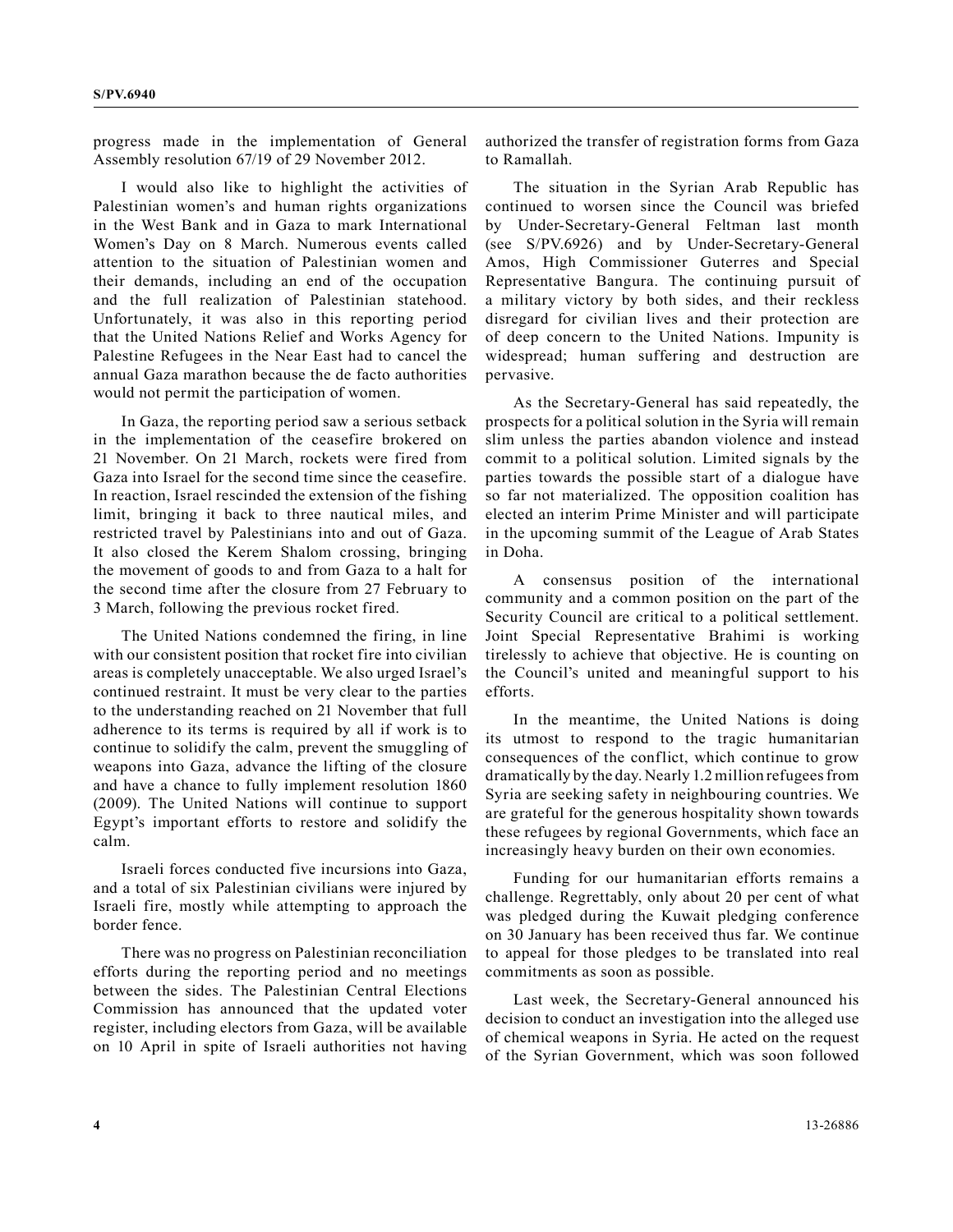progress made in the implementation of General Assembly resolution 67/19 of 29 November 2012.

I would also like to highlight the activities of Palestinian women's and human rights organizations in the West Bank and in Gaza to mark International Women's Day on 8 March. Numerous events called attention to the situation of Palestinian women and their demands, including an end of the occupation and the full realization of Palestinian statehood. Unfortunately, it was also in this reporting period that the United Nations Relief and Works Agency for Palestine Refugees in the Near East had to cancel the annual Gaza marathon because the de facto authorities would not permit the participation of women.

In Gaza, the reporting period saw a serious setback in the implementation of the ceasefire brokered on 21 November. On 21 March, rockets were fired from Gaza into Israel for the second time since the ceasefire. In reaction, Israel rescinded the extension of the fishing limit, bringing it back to three nautical miles, and restricted travel by Palestinians into and out of Gaza. It also closed the Kerem Shalom crossing, bringing the movement of goods to and from Gaza to a halt for the second time after the closure from 27 February to 3 March, following the previous rocket fired.

The United Nations condemned the firing, in line with our consistent position that rocket fire into civilian areas is completely unacceptable. We also urged Israel's continued restraint. It must be very clear to the parties to the understanding reached on 21 November that full adherence to its terms is required by all if work is to continue to solidify the calm, prevent the smuggling of weapons into Gaza, advance the lifting of the closure and have a chance to fully implement resolution 1860 (2009). The United Nations will continue to support Egypt's important efforts to restore and solidify the calm.

Israeli forces conducted five incursions into Gaza, and a total of six Palestinian civilians were injured by Israeli fire, mostly while attempting to approach the border fence.

There was no progress on Palestinian reconciliation efforts during the reporting period and no meetings between the sides. The Palestinian Central Elections Commission has announced that the updated voter register, including electors from Gaza, will be available on 10 April in spite of Israeli authorities not having authorized the transfer of registration forms from Gaza to Ramallah.

The situation in the Syrian Arab Republic has continued to worsen since the Council was briefed by Under-Secretary-General Feltman last month (see S/PV.6926) and by Under-Secretary-General Amos, High Commissioner Guterres and Special Representative Bangura. The continuing pursuit of a military victory by both sides, and their reckless disregard for civilian lives and their protection are of deep concern to the United Nations. Impunity is widespread; human suffering and destruction are pervasive.

As the Secretary-General has said repeatedly, the prospects for a political solution in the Syria will remain slim unless the parties abandon violence and instead commit to a political solution. Limited signals by the parties towards the possible start of a dialogue have so far not materialized. The opposition coalition has elected an interim Prime Minister and will participate in the upcoming summit of the League of Arab States in Doha.

A consensus position of the international community and a common position on the part of the Security Council are critical to a political settlement. Joint Special Representative Brahimi is working tirelessly to achieve that objective. He is counting on the Council's united and meaningful support to his efforts.

In the meantime, the United Nations is doing its utmost to respond to the tragic humanitarian consequences of the conflict, which continue to grow dramatically by the day. Nearly 1.2 million refugees from Syria are seeking safety in neighbouring countries. We are grateful for the generous hospitality shown towards these refugees by regional Governments, which face an increasingly heavy burden on their own economies.

Funding for our humanitarian efforts remains a challenge. Regrettably, only about 20 per cent of what was pledged during the Kuwait pledging conference on 30 January has been received thus far. We continue to appeal for those pledges to be translated into real commitments as soon as possible.

Last week, the Secretary-General announced his decision to conduct an investigation into the alleged use of chemical weapons in Syria. He acted on the request of the Syrian Government, which was soon followed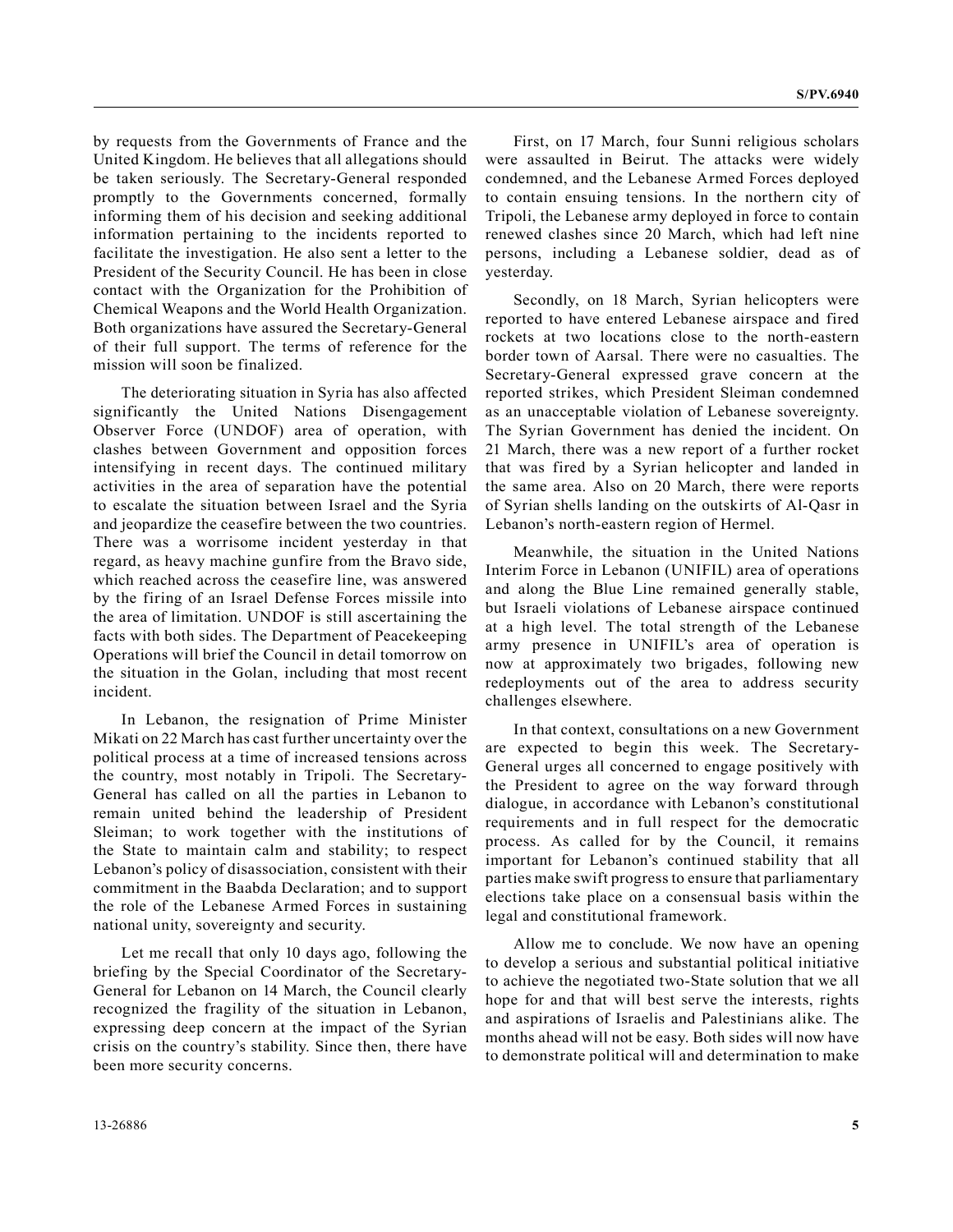by requests from the Governments of France and the United Kingdom. He believes that all allegations should be taken seriously. The Secretary-General responded promptly to the Governments concerned, formally informing them of his decision and seeking additional information pertaining to the incidents reported to facilitate the investigation. He also sent a letter to the President of the Security Council. He has been in close contact with the Organization for the Prohibition of Chemical Weapons and the World Health Organization. Both organizations have assured the Secretary-General of their full support. The terms of reference for the mission will soon be finalized.

The deteriorating situation in Syria has also affected significantly the United Nations Disengagement Observer Force (UNDOF) area of operation, with clashes between Government and opposition forces intensifying in recent days. The continued military activities in the area of separation have the potential to escalate the situation between Israel and the Syria and jeopardize the ceasefire between the two countries. There was a worrisome incident yesterday in that regard, as heavy machine gunfire from the Bravo side, which reached across the ceasefire line, was answered by the firing of an Israel Defense Forces missile into the area of limitation. UNDOF is still ascertaining the facts with both sides. The Department of Peacekeeping Operations will brief the Council in detail tomorrow on the situation in the Golan, including that most recent incident.

In Lebanon, the resignation of Prime Minister Mikati on 22 March has cast further uncertainty over the political process at a time of increased tensions across the country, most notably in Tripoli. The Secretary-General has called on all the parties in Lebanon to remain united behind the leadership of President Sleiman; to work together with the institutions of the State to maintain calm and stability; to respect Lebanon's policy of disassociation, consistent with their commitment in the Baabda Declaration; and to support the role of the Lebanese Armed Forces in sustaining national unity, sovereignty and security.

Let me recall that only 10 days ago, following the briefing by the Special Coordinator of the Secretary-General for Lebanon on 14 March, the Council clearly recognized the fragility of the situation in Lebanon, expressing deep concern at the impact of the Syrian crisis on the country's stability. Since then, there have been more security concerns.

First, on 17 March, four Sunni religious scholars were assaulted in Beirut. The attacks were widely condemned, and the Lebanese Armed Forces deployed to contain ensuing tensions. In the northern city of Tripoli, the Lebanese army deployed in force to contain renewed clashes since 20 March, which had left nine persons, including a Lebanese soldier, dead as of yesterday.

Secondly, on 18 March, Syrian helicopters were reported to have entered Lebanese airspace and fired rockets at two locations close to the north-eastern border town of Aarsal. There were no casualties. The Secretary-General expressed grave concern at the reported strikes, which President Sleiman condemned as an unacceptable violation of Lebanese sovereignty. The Syrian Government has denied the incident. On 21 March, there was a new report of a further rocket that was fired by a Syrian helicopter and landed in the same area. Also on 20 March, there were reports of Syrian shells landing on the outskirts of Al-Qasr in Lebanon's north-eastern region of Hermel.

Meanwhile, the situation in the United Nations Interim Force in Lebanon (UNIFIL) area of operations and along the Blue Line remained generally stable, but Israeli violations of Lebanese airspace continued at a high level. The total strength of the Lebanese army presence in UNIFIL's area of operation is now at approximately two brigades, following new redeployments out of the area to address security challenges elsewhere.

In that context, consultations on a new Government are expected to begin this week. The Secretary-General urges all concerned to engage positively with the President to agree on the way forward through dialogue, in accordance with Lebanon's constitutional requirements and in full respect for the democratic process. As called for by the Council, it remains important for Lebanon's continued stability that all parties make swift progress to ensure that parliamentary elections take place on a consensual basis within the legal and constitutional framework.

Allow me to conclude. We now have an opening to develop a serious and substantial political initiative to achieve the negotiated two-State solution that we all hope for and that will best serve the interests, rights and aspirations of Israelis and Palestinians alike. The months ahead will not be easy. Both sides will now have to demonstrate political will and determination to make